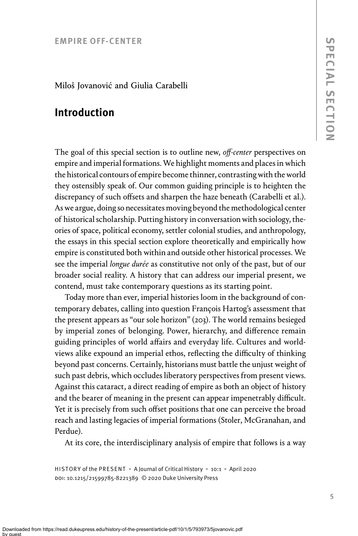## Miloš Jovanović and Giulia Carabelli

## Introduction

The goal of this special section is to outline new, off-center perspectives on empire and imperial formations. We highlight moments and places in which the historical contours of empire become thinner, contrasting with the world they ostensibly speak of. Our common guiding principle is to heighten the discrepancy of such offsets and sharpen the haze beneath (Carabelli et al.). As we argue, doing so necessitates moving beyond the methodological center of historical scholarship. Putting history in conversation with sociology, theories of space, political economy, settler colonial studies, and anthropology, the essays in this special section explore theoretically and empirically how empire is constituted both within and outside other historical processes. We see the imperial longue durée as constitutive not only of the past, but of our broader social reality. A history that can address our imperial present, we contend, must take contemporary questions as its starting point.

Today more than ever, imperial histories loom in the background of contemporary debates, calling into question François Hartog's assessment that the present appears as "our sole horizon" (203). The world remains besieged by imperial zones of belonging. Power, hierarchy, and difference remain guiding principles of world affairs and everyday life. Cultures and worldviews alike expound an imperial ethos, reflecting the difficulty of thinking beyond past concerns. Certainly, historians must battle the unjust weight of such past debris, which occludes liberatory perspectives from present views. Against this cataract, a direct reading of empire as both an object of history and the bearer of meaning in the present can appear impenetrably difficult. Yet it is precisely from such offset positions that one can perceive the broad reach and lasting legacies of imperial formations (Stoler, McGranahan, and Perdue).

At its core, the interdisciplinary analysis of empire that follows is a way

HISTORY of the PRESENT = A Journal of Critical History = 10:1 = April 2020 doi: 10.1215/21599785-8221389 © 2020 Duke University Press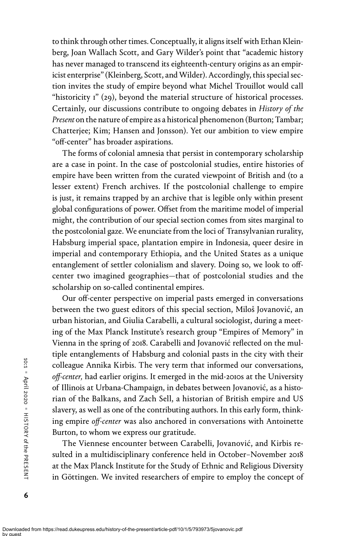to think through other times. Conceptually, it aligns itself with Ethan Kleinberg, Joan Wallach Scott, and Gary Wilder's point that "academic history has never managed to transcend its eighteenth-century origins as an empiricist enterprise" (Kleinberg, Scott, and Wilder). Accordingly, this special section invites the study of empire beyond what Michel Trouillot would call "historicity 1" (29), beyond the material structure of historical processes. Certainly, our discussions contribute to ongoing debates in History of the Present on the nature of empire as a historical phenomenon (Burton; Tambar; Chatterjee; Kim; Hansen and Jonsson). Yet our ambition to view empire "off-center" has broader aspirations.

The forms of colonial amnesia that persist in contemporary scholarship are a case in point. In the case of postcolonial studies, entire histories of empire have been written from the curated viewpoint of British and (to a lesser extent) French archives. If the postcolonial challenge to empire is just, it remains trapped by an archive that is legible only within present global configurations of power. Offset from the maritime model of imperial might, the contribution of our special section comes from sites marginal to the postcolonial gaze. We enunciate from the loci of Transylvanian rurality, Habsburg imperial space, plantation empire in Indonesia, queer desire in imperial and contemporary Ethiopia, and the United States as a unique entanglement of settler colonialism and slavery. Doing so, we look to offcenter two imagined geographies—that of postcolonial studies and the scholarship on so-called continental empires.

Our off-center perspective on imperial pasts emerged in conversations between the two guest editors of this special section, Miloš Jovanović, an urban historian, and Giulia Carabelli, a cultural sociologist, during a meeting of the Max Planck Institute's research group "Empires of Memory" in Vienna in the spring of 2018. Carabelli and Jovanović reflected on the multiple entanglements of Habsburg and colonial pasts in the city with their colleague Annika Kirbis. The very term that informed our conversations, off-center, had earlier origins. It emerged in the mid-2010s at the University of Illinois at Urbana-Champaign, in debates between Jovanović, as a historian of the Balkans, and Zach Sell, a historian of British empire and US slavery, as well as one of the contributing authors. In this early form, thinking empire off-center was also anchored in conversations with Antoinette Burton, to whom we express our gratitude.

The Viennese encounter between Carabelli, Jovanović, and Kirbis resulted in a multidisciplinary conference held in October–November 2018 at the Max Planck Institute for the Study of Ethnic and Religious Diversity in Göttingen. We invited researchers of empire to employ the concept of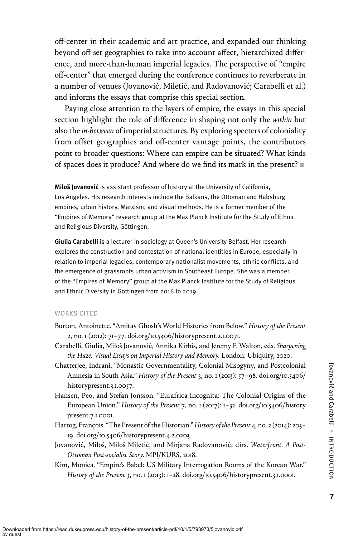off-center in their academic and art practice, and expanded our thinking beyond off-set geographies to take into account affect, hierarchized difference, and more-than-human imperial legacies. The perspective of "empire off-center" that emerged during the conference continues to reverberate in a number of venues (Jovanović, Miletić, and Radovanović; Carabelli et al.) and informs the essays that comprise this special section.

Paying close attention to the layers of empire, the essays in this special section highlight the role of difference in shaping not only the within but also the in-between of imperial structures. By exploring specters of coloniality from offset geographies and off-center vantage points, the contributors point to broader questions: Where can empire can be situated? What kinds of spaces does it produce? And where do we find its mark in the present? ■

Miloš Jovanović is assistant professor of history at the University of California, Los Angeles. His research interests include the Balkans, the Ottoman and Habsburg empires, urban history, Marxism, and visual methods. He is a former member of the "Empires of Memory" research group at the Max Planck Institute for the Study of Ethnic and Religious Diversity, Göttingen.

Giulia Carabelli is a lecturer in sociology at Queen's University Belfast. Her research explores the construction and contestation of national identities in Europe, especially in relation to imperial legacies, contemporary nationalist movements, ethnic conflicts, and the emergence of grassroots urban activism in Southeast Europe. She was a member of the "Empires of Memory" group at the Max Planck Institute for the Study of Religious and Ethnic Diversity in Göttingen from 2016 to 2019.

## WORKS CITED

- Burton, Antoinette. "Amitav Ghosh's World Histories from Below." History of the Present 2, no. 1 (2012): 71–77. doi.org/10.5406/historypresent.2.1.0071.
- Carabelli, Giulia, Miloš Jovanović, Annika Kirbis, and Jeremy F. Walton, eds. Sharpening the Haze: Visual Essays on Imperial History and Memory. London: Ubiquity, 2020.
- Chatterjee, Indrani. "Monastic Governmentality, Colonial Misogyny, and Postcolonial Amnesia in South Asia." History of the Present 3, no. 1 (2013): 57–98. doi.org/10.5406/ historypresent.3.1.0057.
- Hansen, Peo, and Stefan Jonsson. "Eurafrica Incognita: The Colonial Origins of the European Union." History of the Present 7, no. 1 (2017): 1-32. doi.org/10.5406/history present.7.1.0001.
- Hartog, François. "The Present of the Historian." History of the Present 4, no. 2 (2014): 203-19. doi.org/10.5406/historypresent.4.2.0203.
- Jovanović, Miloš, Miloš Miletić, and Mirjana Radovanović, dirs. Waterfront. A Post-Ottoman Post-socialist Story. MPI/KURS, 2018.
- Kim, Monica. "Empire's Babel: US Military Interrogation Rooms of the Korean War." History of the Present 3, no. 1 (2013): 1-28. doi.org/10.5406/historypresent.3.1.0001.